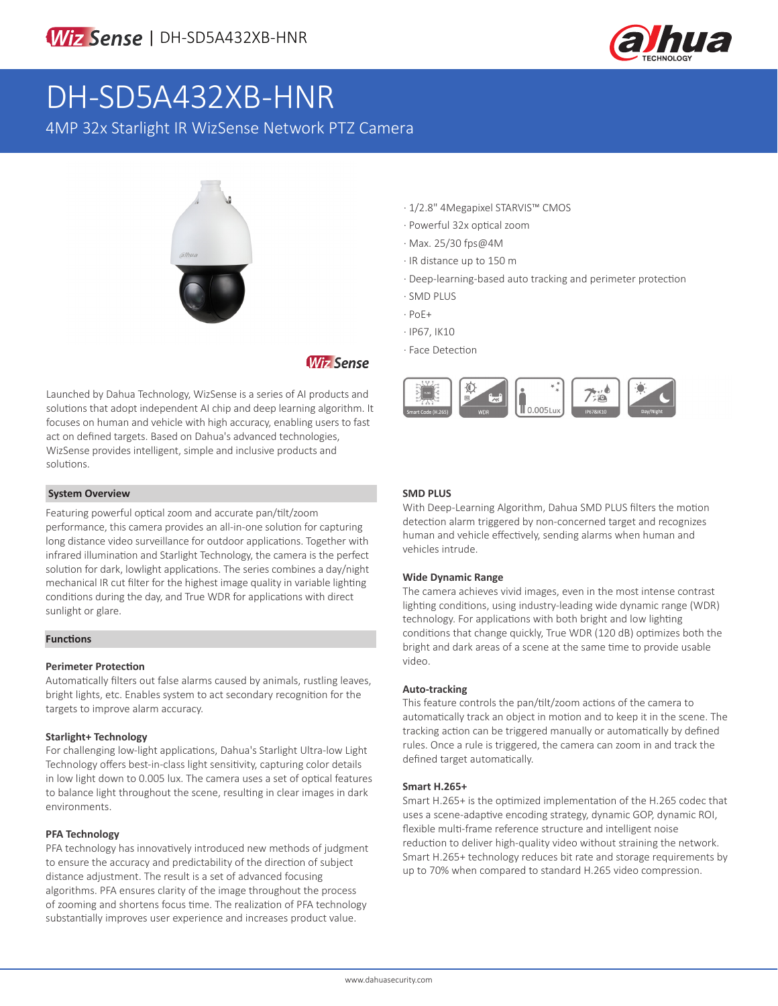

# DH-SD5A432XB-HNR

4MP 32x Starlight IR WizSense Network PTZ Camera



### **Wiz Sense**

Launched by Dahua Technology, WizSense is a series of AI products and solutions that adopt independent AI chip and deep learning algorithm. It focuses on human and vehicle with high accuracy, enabling users to fast act on defined targets. Based on Dahua's advanced technologies, WizSense provides intelligent, simple and inclusive products and solutions.

#### **System Overview**

Featuring powerful optical zoom and accurate pan/tilt/zoom performance, this camera provides an all-in-one solution for capturing long distance video surveillance for outdoor applications. Together with infrared illumination and Starlight Technology, the camera is the perfect solution for dark, lowlight applications. The series combines a day/night mechanical IR cut filter for the highest image quality in variable lighting conditions during the day, and True WDR for applications with direct sunlight or glare.

#### **Functions**

#### **Perimeter Protection**

Automatically filters out false alarms caused by animals, rustling leaves, bright lights, etc. Enables system to act secondary recognition for the targets to improve alarm accuracy.

#### **Starlight+ Technology**

For challenging low-light applications, Dahua's Starlight Ultra-low Light Technology offers best-in-class light sensitivity, capturing color details in low light down to 0.005 lux. The camera uses a set of optical features to balance light throughout the scene, resulting in clear images in dark environments.

#### **PFA Technology**

PFA technology has innovatively introduced new methods of judgment to ensure the accuracy and predictability of the direction of subject distance adjustment. The result is a set of advanced focusing algorithms. PFA ensures clarity of the image throughout the process of zooming and shortens focus time. The realization of PFA technology substantially improves user experience and increases product value.

- · 1/2.8" 4Megapixel STARVIS™ CMOS
- · Powerful 32x optical zoom
- · Max. 25/30 fps@4M
- · IR distance up to 150 m
- · Deep-learning-based auto tracking and perimeter protection
- · SMD PLUS
- · PoE+
- · IP67, IK10
- · Face Detection



#### **SMD PLUS**

With Deep-Learning Algorithm, Dahua SMD PLUS filters the motion detection alarm triggered by non-concerned target and recognizes human and vehicle effectively, sending alarms when human and vehicles intrude.

#### **Wide Dynamic Range**

The camera achieves vivid images, even in the most intense contrast lighting conditions, using industry-leading wide dynamic range (WDR) technology. For applications with both bright and low lighting conditions that change quickly, True WDR (120 dB) optimizes both the bright and dark areas of a scene at the same time to provide usable video.

#### **Auto-tracking**

This feature controls the pan/tilt/zoom actions of the camera to automatically track an object in motion and to keep it in the scene. The tracking action can be triggered manually or automatically by defined rules. Once a rule is triggered, the camera can zoom in and track the defined target automatically.

#### **Smart H.265+**

Smart H.265+ is the optimized implementation of the H.265 codec that uses a scene-adaptive encoding strategy, dynamic GOP, dynamic ROI, flexible multi-frame reference structure and intelligent noise reduction to deliver high-quality video without straining the network. Smart H.265+ technology reduces bit rate and storage requirements by up to 70% when compared to standard H.265 video compression.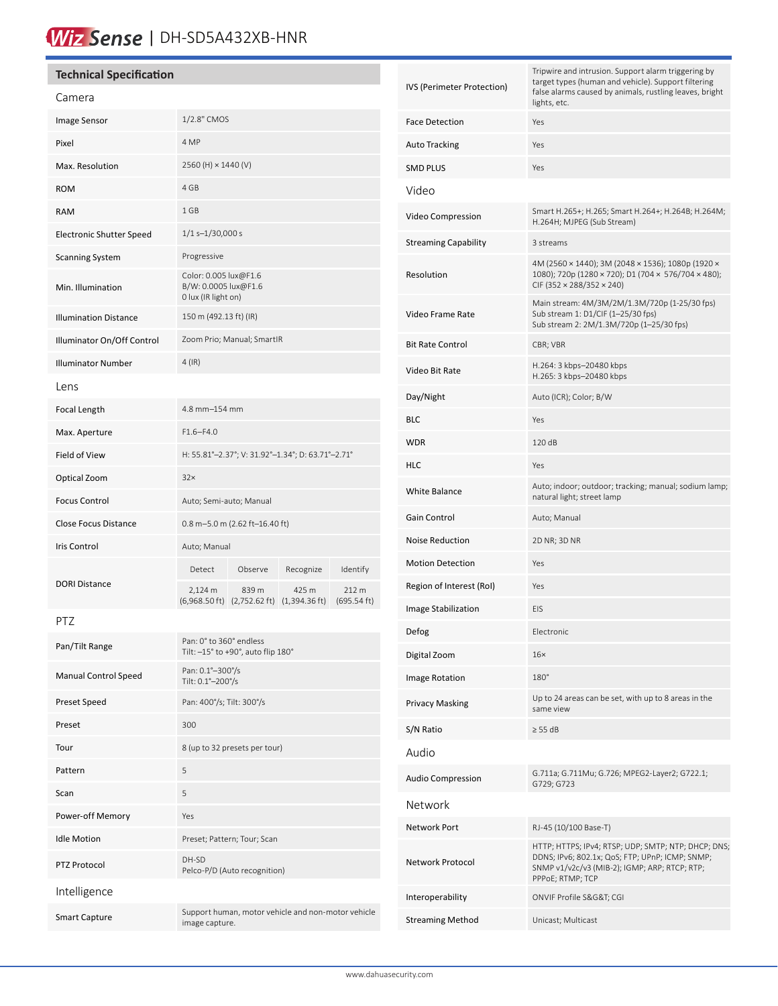# Wiz Sense | DH-SD5A432XB-HNR

| <b>Technical Specification</b>  |                                                                      |                                                                                  |           |                      |                             | Tripwire and intrusion. Support alarm triggering by<br>target types (human and vehicle). Support filtering                                                                  |
|---------------------------------|----------------------------------------------------------------------|----------------------------------------------------------------------------------|-----------|----------------------|-----------------------------|-----------------------------------------------------------------------------------------------------------------------------------------------------------------------------|
| Camera                          |                                                                      |                                                                                  |           |                      | IVS (Perimeter Protection)  | false alarms caused by animals, rustling leaves, bright<br>lights, etc.                                                                                                     |
| Image Sensor                    | 1/2.8" CMOS                                                          |                                                                                  |           |                      | <b>Face Detection</b>       | Yes                                                                                                                                                                         |
| Pixel                           | 4 MP                                                                 |                                                                                  |           |                      | <b>Auto Tracking</b>        | Yes                                                                                                                                                                         |
| Max. Resolution                 | 2560 (H) × 1440 (V)                                                  |                                                                                  |           |                      | <b>SMD PLUS</b>             | Yes                                                                                                                                                                         |
| <b>ROM</b>                      | 4 GB                                                                 |                                                                                  |           |                      | Video                       |                                                                                                                                                                             |
| <b>RAM</b>                      | 1 GB                                                                 |                                                                                  |           |                      | Video Compression           | Smart H.265+; H.265; Smart H.264+; H.264B; H.264M;<br>H.264H; MJPEG (Sub Stream)                                                                                            |
| <b>Electronic Shutter Speed</b> | $1/1$ s- $1/30,000$ s                                                |                                                                                  |           |                      | <b>Streaming Capability</b> | 3 streams                                                                                                                                                                   |
| <b>Scanning System</b>          | Progressive                                                          |                                                                                  |           |                      |                             | 4M (2560 × 1440); 3M (2048 × 1536); 1080p (1920 ×                                                                                                                           |
| Min. Illumination               | Color: 0.005 lux@F1.6<br>B/W: 0.0005 lux@F1.6<br>0 lux (IR light on) |                                                                                  |           |                      | Resolution                  | 1080); 720p (1280 × 720); D1 (704 × 576/704 × 480);<br>CIF (352 $\times$ 288/352 $\times$ 240)                                                                              |
| <b>Illumination Distance</b>    | 150 m (492.13 ft) (IR)                                               |                                                                                  |           |                      | Video Frame Rate            | Main stream: 4M/3M/2M/1.3M/720p (1-25/30 fps)<br>Sub stream 1: D1/CIF (1-25/30 fps)<br>Sub stream 2: 2M/1.3M/720p (1-25/30 fps)                                             |
| Illuminator On/Off Control      | Zoom Prio; Manual; SmartIR                                           |                                                                                  |           |                      | <b>Bit Rate Control</b>     | CBR; VBR                                                                                                                                                                    |
| <b>Illuminator Number</b>       | $4$ (IR)                                                             |                                                                                  |           |                      | Video Bit Rate              | H.264: 3 kbps-20480 kbps<br>H.265: 3 kbps-20480 kbps                                                                                                                        |
| Lens                            |                                                                      |                                                                                  |           |                      | Day/Night                   | Auto (ICR); Color; B/W                                                                                                                                                      |
| Focal Length                    | 4.8 mm-154 mm                                                        |                                                                                  |           |                      | <b>BLC</b>                  | Yes                                                                                                                                                                         |
| Max. Aperture                   | $F1.6 - F4.0$                                                        |                                                                                  |           |                      | <b>WDR</b>                  | 120 dB                                                                                                                                                                      |
| Field of View                   | H: 55.81°-2.37°; V: 31.92°-1.34°; D: 63.71°-2.71°                    |                                                                                  |           |                      | <b>HLC</b>                  | Yes                                                                                                                                                                         |
| Optical Zoom                    | 32x                                                                  |                                                                                  |           |                      | White Balance               | Auto; indoor; outdoor; tracking; manual; sodium lamp;<br>natural light; street lamp                                                                                         |
| <b>Focus Control</b>            | Auto; Semi-auto; Manual                                              |                                                                                  |           |                      | Gain Control                | Auto; Manual                                                                                                                                                                |
| Close Focus Distance            | $0.8$ m-5.0 m (2.62 ft-16.40 ft)                                     |                                                                                  |           |                      | Noise Reduction             | 2D NR; 3D NR                                                                                                                                                                |
| Iris Control                    | Auto; Manual                                                         |                                                                                  |           |                      | <b>Motion Detection</b>     | Yes                                                                                                                                                                         |
| <b>DORI Distance</b>            | Detect                                                               | Observe                                                                          | Recognize | Identify             | Region of Interest (RoI)    | Yes                                                                                                                                                                         |
|                                 | 2,124 m                                                              | 839 m<br>$(6,968.50 \text{ ft})$ $(2,752.62 \text{ ft})$ $(1,394.36 \text{ ft})$ | 425 m     | 212 m<br>(695.54 ft) | Image Stabilization         | EIS                                                                                                                                                                         |
| PTZ                             |                                                                      |                                                                                  |           |                      | Defog                       | Electronic                                                                                                                                                                  |
| Pan/Tilt Range                  | Pan: 0° to 360° endless<br>Tilt: -15° to +90°, auto flip 180°        |                                                                                  |           |                      | Digital Zoom                | $16\times$                                                                                                                                                                  |
| <b>Manual Control Speed</b>     | Pan: 0.1°-300°/s                                                     |                                                                                  |           |                      | Image Rotation              | 180°                                                                                                                                                                        |
| Preset Speed                    | Tilt: 0.1°-200°/s<br>Pan: 400°/s; Tilt: 300°/s                       |                                                                                  |           |                      | Privacy Masking             | Up to 24 areas can be set, with up to 8 areas in the                                                                                                                        |
| Preset                          | 300                                                                  |                                                                                  |           |                      | S/N Ratio                   | same view<br>$\geq$ 55 dB                                                                                                                                                   |
| Tour                            | 8 (up to 32 presets per tour)                                        |                                                                                  |           |                      | Audio                       |                                                                                                                                                                             |
| Pattern                         | 5                                                                    |                                                                                  |           |                      |                             | G.711a; G.711Mu; G.726; MPEG2-Layer2; G722.1;                                                                                                                               |
| Scan                            | 5                                                                    |                                                                                  |           |                      | <b>Audio Compression</b>    | G729; G723                                                                                                                                                                  |
| Power-off Memory                | Yes                                                                  |                                                                                  |           |                      | Network                     |                                                                                                                                                                             |
| <b>Idle Motion</b>              | Preset; Pattern; Tour; Scan                                          |                                                                                  |           |                      | Network Port                | RJ-45 (10/100 Base-T)                                                                                                                                                       |
| PTZ Protocol                    | DH-SD<br>Pelco-P/D (Auto recognition)                                |                                                                                  |           |                      | Network Protocol            | HTTP; HTTPS; IPv4; RTSP; UDP; SMTP; NTP; DHCP; DNS;<br>DDNS; IPv6; 802.1x; QoS; FTP; UPnP; ICMP; SNMP;<br>SNMP v1/v2c/v3 (MIB-2); IGMP; ARP; RTCP; RTP;<br>PPPoE; RTMP; TCP |
| Intelligence                    |                                                                      |                                                                                  |           |                      | Interoperability            | ONVIF Profile S&G&T CGI                                                                                                                                                     |
| <b>Smart Capture</b>            | Support human, motor vehicle and non-motor vehicle<br>image capture. |                                                                                  |           |                      | <b>Streaming Method</b>     | Unicast; Multicast                                                                                                                                                          |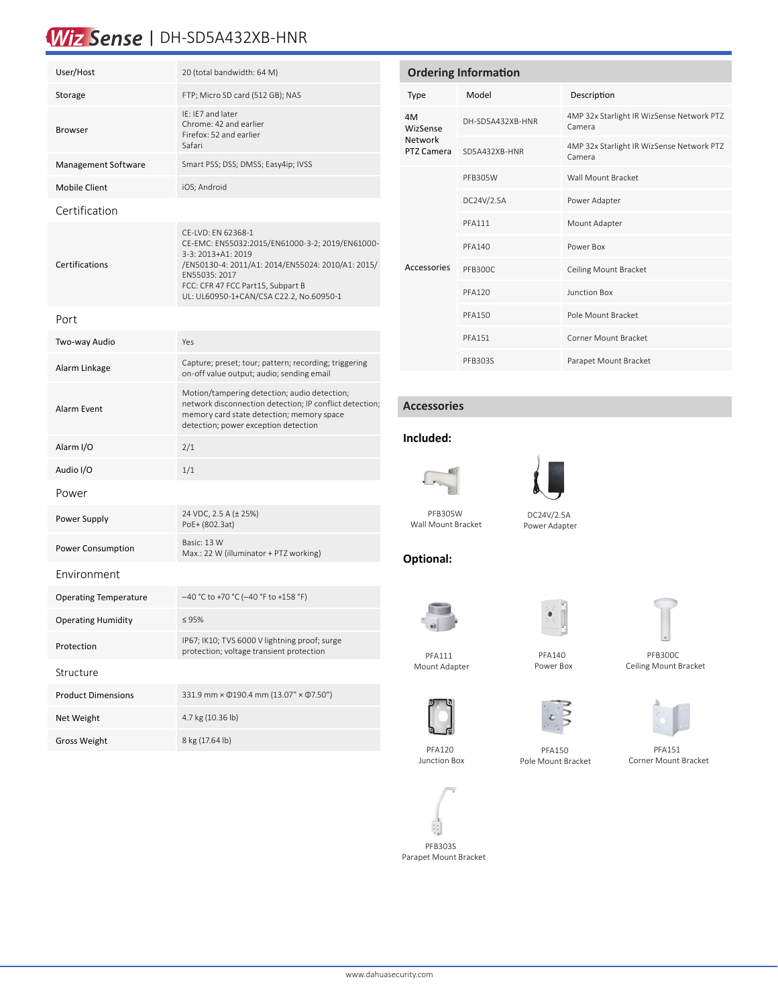## Wiz Sense | DH-SD5A432XB-HNR

| User/Host                    | 20 (total bandwidth: 64 M)                                                                                                                                                                                                                        |  |  |  |  |  |  |
|------------------------------|---------------------------------------------------------------------------------------------------------------------------------------------------------------------------------------------------------------------------------------------------|--|--|--|--|--|--|
| Storage                      | FTP; Micro SD card (512 GB); NAS                                                                                                                                                                                                                  |  |  |  |  |  |  |
| <b>Browser</b>               | IE: IE7 and later<br>Chrome: 42 and earlier<br>Firefox: 52 and earlier<br>Safari                                                                                                                                                                  |  |  |  |  |  |  |
| Management Software          | Smart PSS; DSS; DMSS; Easy4ip; IVSS                                                                                                                                                                                                               |  |  |  |  |  |  |
| <b>Mobile Client</b>         | iOS; Android                                                                                                                                                                                                                                      |  |  |  |  |  |  |
| Certification                |                                                                                                                                                                                                                                                   |  |  |  |  |  |  |
| Certifications               | CE-LVD: EN 62368-1<br>CE-EMC: EN55032:2015/EN61000-3-2; 2019/EN61000-<br>3-3: 2013+A1: 2019<br>/EN50130-4: 2011/A1: 2014/EN55024: 2010/A1: 2015/<br>EN55035: 2017<br>FCC: CFR 47 FCC Part15, Subpart B<br>UL: UL60950-1+CAN/CSA C22.2, No.60950-1 |  |  |  |  |  |  |
| Port                         |                                                                                                                                                                                                                                                   |  |  |  |  |  |  |
| Two-way Audio                | Yes                                                                                                                                                                                                                                               |  |  |  |  |  |  |
| Alarm Linkage                | Capture; preset; tour; pattern; recording; triggering<br>on-off value output; audio; sending email                                                                                                                                                |  |  |  |  |  |  |
| Alarm Event                  | Motion/tampering detection; audio detection;<br>network disconnection detection; IP conflict detection;<br>memory card state detection; memory space<br>detection; power exception detection                                                      |  |  |  |  |  |  |
| Alarm I/O                    | 2/1                                                                                                                                                                                                                                               |  |  |  |  |  |  |
| Audio I/O                    | 1/1                                                                                                                                                                                                                                               |  |  |  |  |  |  |
| Power                        |                                                                                                                                                                                                                                                   |  |  |  |  |  |  |
| Power Supply                 | 24 VDC, 2.5 A (± 25%)<br>PoE+ (802.3at)                                                                                                                                                                                                           |  |  |  |  |  |  |
| Power Consumption            | Basic: 13 W<br>Max.: 22 W (illuminator + PTZ working)                                                                                                                                                                                             |  |  |  |  |  |  |
| Environment                  |                                                                                                                                                                                                                                                   |  |  |  |  |  |  |
| <b>Operating Temperature</b> | -40 °C to +70 °C (-40 °F to +158 °F)                                                                                                                                                                                                              |  |  |  |  |  |  |
| <b>Operating Humidity</b>    | < 95%                                                                                                                                                                                                                                             |  |  |  |  |  |  |
| Protection                   | IP67; IK10; TVS 6000 V lightning proof; surge<br>protection; voltage transient protection                                                                                                                                                         |  |  |  |  |  |  |
| Structure                    |                                                                                                                                                                                                                                                   |  |  |  |  |  |  |
| <b>Product Dimensions</b>    | 331.9 mm × 0190.4 mm (13.07" × 07.50")                                                                                                                                                                                                            |  |  |  |  |  |  |
| Net Weight                   | 4.7 kg (10.36 lb)                                                                                                                                                                                                                                 |  |  |  |  |  |  |
| <b>Gross Weight</b>          | 8 kg (17.64 lb)                                                                                                                                                                                                                                   |  |  |  |  |  |  |

| <b>Ordering Information</b>             |                  |                                                     |  |  |  |  |
|-----------------------------------------|------------------|-----------------------------------------------------|--|--|--|--|
| <b>Type</b>                             | Model            | Description                                         |  |  |  |  |
| 4M<br>WizSense<br>Network<br>PTZ Camera | DH-SD5A432XB-HNR | 4MP 32x Starlight IR WizSense Network PTZ<br>Camera |  |  |  |  |
|                                         | SD5A432XB-HNR    | 4MP 32x Starlight IR WizSense Network PTZ<br>Camera |  |  |  |  |
| Accessories                             | PFB305W          | Wall Mount Bracket                                  |  |  |  |  |
|                                         | DC24V/2.5A       | Power Adapter                                       |  |  |  |  |
|                                         | <b>PFA111</b>    | Mount Adapter                                       |  |  |  |  |
|                                         | <b>PFA140</b>    | Power Box                                           |  |  |  |  |
|                                         | <b>PFB300C</b>   | Ceiling Mount Bracket                               |  |  |  |  |
|                                         | <b>PFA120</b>    | Junction Box                                        |  |  |  |  |
|                                         | <b>PFA150</b>    | Pole Mount Bracket                                  |  |  |  |  |
|                                         | <b>PFA151</b>    | Corner Mount Bracket                                |  |  |  |  |
|                                         | PFB303S          | Parapet Mount Bracket                               |  |  |  |  |

#### **Accessories**

### **Included:**





 DC24V/2.5A Power Adapter

#### **Optional:**



 PFA111 Mount Adapter



 PFA140 Power Box

 PFB300C Ceiling Mount Bracket



 PFA150 Pole Mount Bracket



 PFA151 Corner Mount Bracket





 PFB303S Parapet Mount Bracket



Wall Mount Bracket